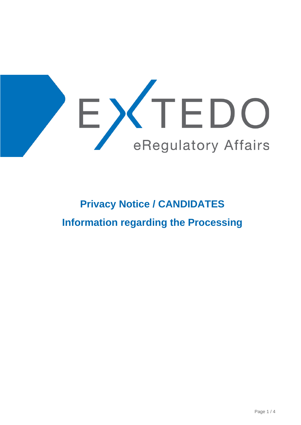

# **Privacy Notice / CANDIDATES Information regarding the Processing**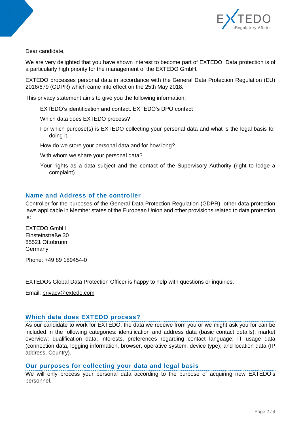

Dear candidate,

We are very delighted that you have shown interest to become part of EXTEDO. Data protection is of a particularly high priority for the management of the EXTEDO GmbH.

EXTEDO processes personal data in accordance with the General Data Protection Regulation (EU) 2016/679 (GDPR) which came into effect on the 25th May 2018.

This privacy statement aims to give you the following information:

EXTEDO's identification and contact. EXTEDO's DPO contact

Which data does EXTEDO process?

For which purpose(s) is EXTEDO collecting your personal data and what is the legal basis for doing it.

How do we store your personal data and for how long?

With whom we share your personal data?

Your rights as a data subject and the contact of the Supervisory Authority (right to lodge a complaint)

## **Name and Address of the controller**

Controller for the purposes of the General Data Protection Regulation (GDPR), other data protection laws applicable in Member states of the European Union and other provisions related to data protection is:

EXTEDO GmbH Einsteinstraße 30 85521 Ottobrunn Germany

Phone: +49 89 189454-0

EXTEDOs Global Data Protection Officer is happy to help with questions or inquiries.

Email: [privacy@extedo.com](mailto:privacy@extedo.com)

## **Which data does EXTEDO process?**

As our candidate to work for EXTEDO, the data we receive from you or we might ask you for can be included in the following categories: identification and address data (basic contact details); market overview; qualification data; interests, preferences regarding contact language; IT usage data (connection data, logging information, browser, operative system, device type); and location data (IP address, Country).

## **Our purposes for collecting your data and legal basis**

We will only process your personal data according to the purpose of acquiring new EXTEDO's personnel.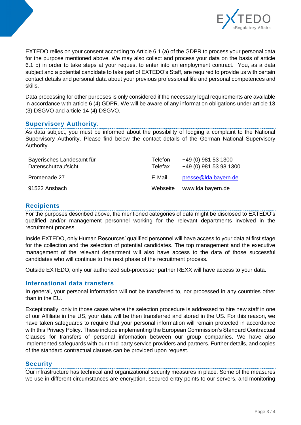

EXTEDO relies on your consent according to Article 6.1 (a) of the GDPR to process your personal data for the purpose mentioned above. We may also collect and process your data on the basis of article 6.1 b) in order to take steps at your request to enter into an employment contract. You, as a data subject and a potential candidate to take part of EXTEDO's Staff, are required to provide us with certain contact details and personal data about your previous professional life and personal competences and skills.

Data processing for other purposes is only considered if the necessary legal requirements are available in accordance with article 6 (4) GDPR. We will be aware of any information obligations under article 13 (3) DSGVO and article 14 (4) DSGVO.

## **Supervisory Authority.**

As data subject, you must be informed about the possibility of lodging a complaint to the National Supervisory Authority. Please find below the contact details of the German National Supervisory Authority.

| Bayerisches Landesamt für | <b>Telefon</b> | +49 (0) 981 53 1300    |
|---------------------------|----------------|------------------------|
| Datenschutzaufsicht       | Telefax        | +49 (0) 981 53 98 1300 |
| Promenade 27              | E-Mail         | presse@lda.bayern.de   |
| 91522 Ansbach             | Webseite       | www.lda.bayern.de      |

## **Recipients**

For the purposes described above, the mentioned categories of data might be disclosed to EXTEDO's qualified and/or management personnel working for the relevant departments involved in the recruitment process.

Inside EXTEDO, only Human Resources' qualified personnel will have access to your data at first stage for the collection and the selection of potential candidates. The top management and the executive management of the relevant department will also have access to the data of those successful candidates who will continue to the next phase of the recruitment process.

Outside EXTEDO, only our authorized sub-processor partner REXX will have access to your data.

## **International data transfers**

In general, your personal information will not be transferred to, nor processed in any countries other than in the EU.

Exceptionally, only in those cases where the selection procedure is addressed to hire new staff in one of our Affiliate in the US, your data will be then transferred and stored in the US. For this reason, we have taken safeguards to require that your personal information will remain protected in accordance with this Privacy Policy. These include implementing the European Commission's Standard Contractual Clauses for transfers of personal information between our group companies. We have also implemented safeguards with our third-party service providers and partners. Further details, and copies of the standard contractual clauses can be provided upon request.

## **Security**

Our infrastructure has technical and organizational security measures in place. Some of the measures we use in different circumstances are encryption, secured entry points to our servers, and monitoring